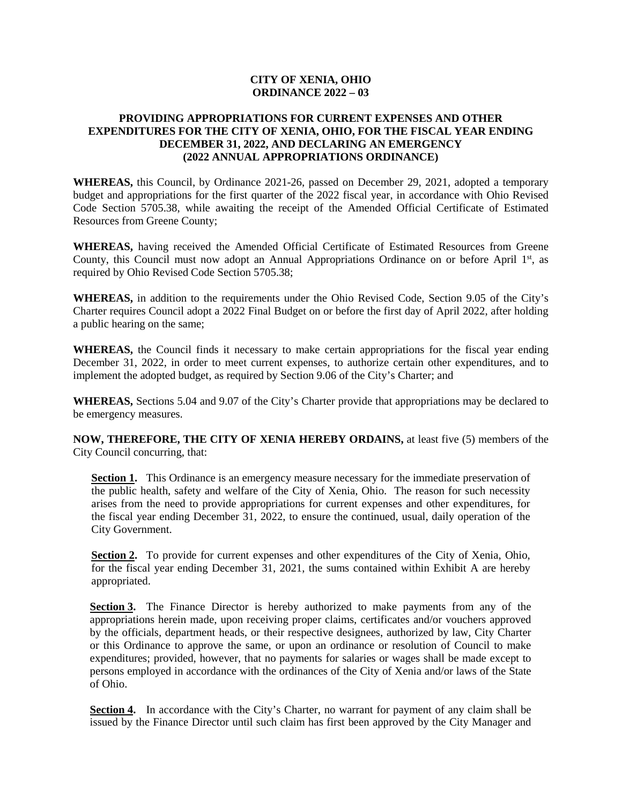## **CITY OF XENIA, OHIO ORDINANCE 2022 – 03**

## **PROVIDING APPROPRIATIONS FOR CURRENT EXPENSES AND OTHER EXPENDITURES FOR THE CITY OF XENIA, OHIO, FOR THE FISCAL YEAR ENDING DECEMBER 31, 2022, AND DECLARING AN EMERGENCY (2022 ANNUAL APPROPRIATIONS ORDINANCE)**

**WHEREAS,** this Council, by Ordinance 2021-26, passed on December 29, 2021, adopted a temporary budget and appropriations for the first quarter of the 2022 fiscal year, in accordance with Ohio Revised Code Section 5705.38, while awaiting the receipt of the Amended Official Certificate of Estimated Resources from Greene County;

**WHEREAS,** having received the Amended Official Certificate of Estimated Resources from Greene County, this Council must now adopt an Annual Appropriations Ordinance on or before April 1<sup>st</sup>, as required by Ohio Revised Code Section 5705.38;

**WHEREAS,** in addition to the requirements under the Ohio Revised Code, Section 9.05 of the City's Charter requires Council adopt a 2022 Final Budget on or before the first day of April 2022, after holding a public hearing on the same;

**WHEREAS,** the Council finds it necessary to make certain appropriations for the fiscal year ending December 31, 2022, in order to meet current expenses, to authorize certain other expenditures, and to implement the adopted budget, as required by Section 9.06 of the City's Charter; and

**WHEREAS,** Sections 5.04 and 9.07 of the City's Charter provide that appropriations may be declared to be emergency measures.

**NOW, THEREFORE, THE CITY OF XENIA HEREBY ORDAINS,** at least five (5) members of the City Council concurring, that:

**Section 1.** This Ordinance is an emergency measure necessary for the immediate preservation of the public health, safety and welfare of the City of Xenia, Ohio. The reason for such necessity arises from the need to provide appropriations for current expenses and other expenditures, for the fiscal year ending December 31, 2022, to ensure the continued, usual, daily operation of the City Government.

**Section 2.** To provide for current expenses and other expenditures of the City of Xenia, Ohio, for the fiscal year ending December 31, 2021, the sums contained within Exhibit A are hereby appropriated.

**Section 3.** The Finance Director is hereby authorized to make payments from any of the appropriations herein made, upon receiving proper claims, certificates and/or vouchers approved by the officials, department heads, or their respective designees, authorized by law, City Charter or this Ordinance to approve the same, or upon an ordinance or resolution of Council to make expenditures; provided, however, that no payments for salaries or wages shall be made except to persons employed in accordance with the ordinances of the City of Xenia and/or laws of the State of Ohio.

Section 4. In accordance with the City's Charter, no warrant for payment of any claim shall be issued by the Finance Director until such claim has first been approved by the City Manager and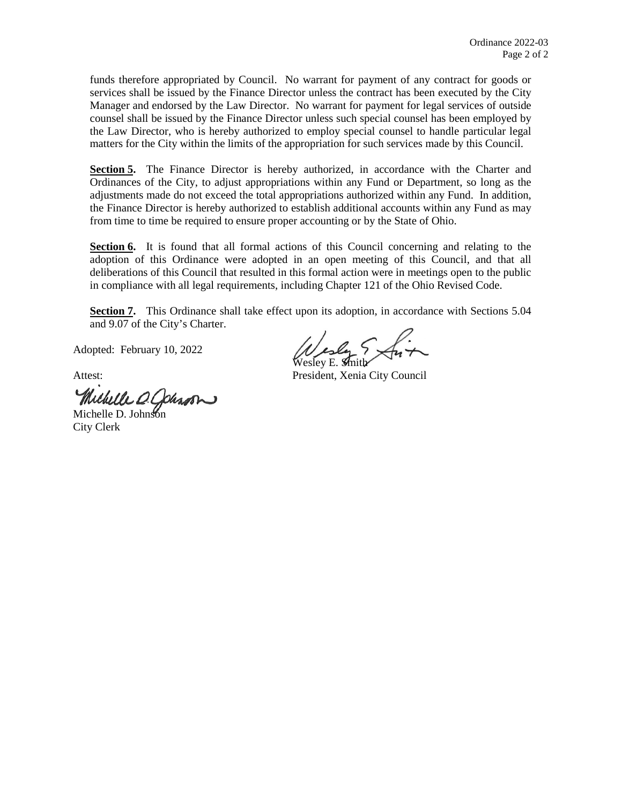funds therefore appropriated by Council. No warrant for payment of any contract for goods or services shall be issued by the Finance Director unless the contract has been executed by the City Manager and endorsed by the Law Director. No warrant for payment for legal services of outside counsel shall be issued by the Finance Director unless such special counsel has been employed by the Law Director, who is hereby authorized to employ special counsel to handle particular legal matters for the City within the limits of the appropriation for such services made by this Council.

**Section 5.** The Finance Director is hereby authorized, in accordance with the Charter and Ordinances of the City, to adjust appropriations within any Fund or Department, so long as the adjustments made do not exceed the total appropriations authorized within any Fund. In addition, the Finance Director is hereby authorized to establish additional accounts within any Fund as may from time to time be required to ensure proper accounting or by the State of Ohio.

Section 6. It is found that all formal actions of this Council concerning and relating to the adoption of this Ordinance were adopted in an open meeting of this Council, and that all deliberations of this Council that resulted in this formal action were in meetings open to the public in compliance with all legal requirements, including Chapter 121 of the Ohio Revised Code.

**Section 7.** This Ordinance shall take effect upon its adoption, in accordance with Sections 5.04 and 9.07 of the City's Charter.

Adopted: February 10, 2022

Michelle D. Johnson

City Clerk

Wesley & Snit

Attest: President, Xenia City Council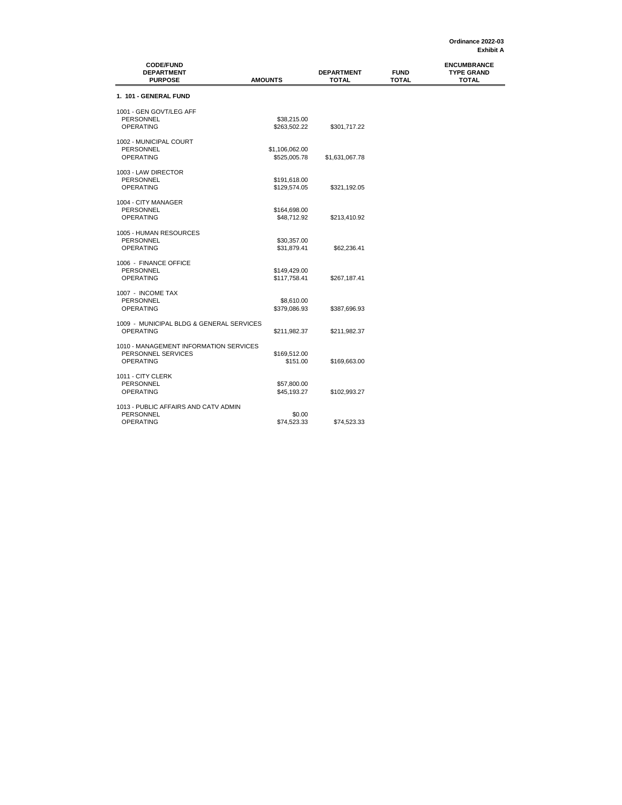| <b>CODE/FUND</b><br><b>DEPARTMENT</b><br><b>PURPOSE</b>                          | <b>AMOUNTS</b>                 | <b>DEPARTMENT</b><br><b>TOTAL</b> | <b>FUND</b><br><b>TOTAL</b> | <b>ENCUMBRANCE</b><br><b>TYPE GRAND</b><br><b>TOTAL</b> |
|----------------------------------------------------------------------------------|--------------------------------|-----------------------------------|-----------------------------|---------------------------------------------------------|
| 1. 101 - GENERAL FUND                                                            |                                |                                   |                             |                                                         |
| 1001 - GEN GOVT/LEG AFF<br><b>PERSONNEL</b><br><b>OPERATING</b>                  | \$38,215.00<br>\$263,502.22    | \$301,717.22                      |                             |                                                         |
| 1002 - MUNICIPAL COURT<br><b>PERSONNEL</b><br><b>OPERATING</b>                   | \$1,106,062.00<br>\$525,005.78 | \$1,631,067.78                    |                             |                                                         |
| 1003 - LAW DIRECTOR<br><b>PERSONNEL</b><br><b>OPERATING</b>                      | \$191,618.00<br>\$129,574.05   | \$321,192.05                      |                             |                                                         |
| 1004 - CITY MANAGER<br>PERSONNEL<br><b>OPERATING</b>                             | \$164,698.00<br>\$48,712.92    | \$213,410.92                      |                             |                                                         |
| 1005 - HUMAN RESOURCES<br>PERSONNEL<br><b>OPERATING</b>                          | \$30,357.00<br>\$31,879.41     | \$62,236.41                       |                             |                                                         |
| 1006 - FINANCE OFFICE<br><b>PERSONNEL</b><br><b>OPERATING</b>                    | \$149,429.00<br>\$117,758.41   | \$267,187.41                      |                             |                                                         |
| 1007 - INCOME TAX<br><b>PERSONNEL</b><br><b>OPERATING</b>                        | \$8,610.00<br>\$379,086.93     | \$387,696.93                      |                             |                                                         |
| 1009 - MUNICIPAL BLDG & GENERAL SERVICES<br><b>OPERATING</b>                     | \$211,982.37                   | \$211,982.37                      |                             |                                                         |
| 1010 - MANAGEMENT INFORMATION SERVICES<br>PERSONNEL SERVICES<br><b>OPERATING</b> | \$169,512.00<br>\$151.00       | \$169,663.00                      |                             |                                                         |
| 1011 - CITY CLERK<br><b>PERSONNEL</b><br><b>OPERATING</b>                        | \$57,800.00<br>\$45,193.27     | \$102,993.27                      |                             |                                                         |
| 1013 - PUBLIC AFFAIRS AND CATV ADMIN<br><b>PERSONNEL</b><br>OPERATING            | \$0.00<br>\$74,523.33          | \$74,523.33                       |                             |                                                         |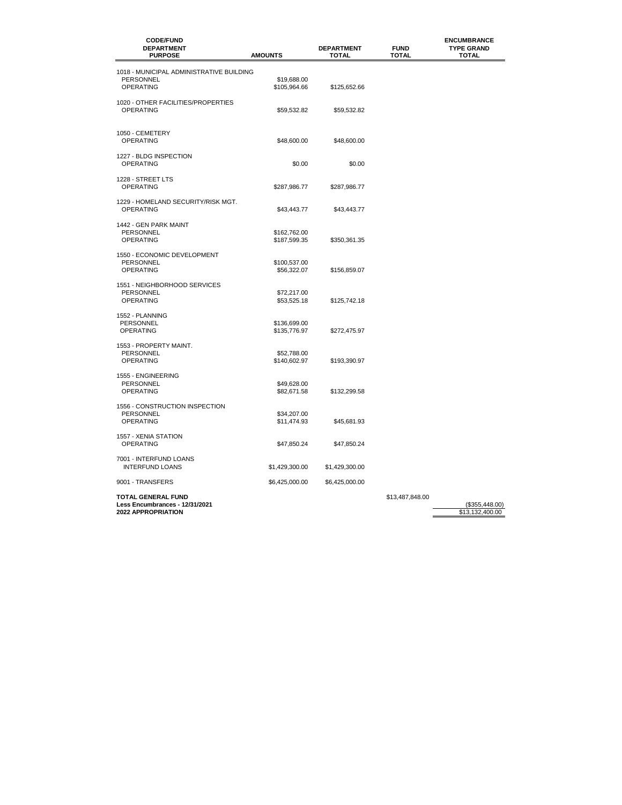| <b>CODE/FUND</b><br><b>DEPARTMENT</b><br><b>PURPOSE</b> | <b>AMOUNTS</b>              | <b>DEPARTMENT</b><br>TOTAL | <b>FUND</b><br><b>TOTAL</b> | <b>ENCUMBRANCE</b><br><b>TYPE GRAND</b><br><b>TOTAL</b> |
|---------------------------------------------------------|-----------------------------|----------------------------|-----------------------------|---------------------------------------------------------|
| 1018 - MUNICIPAL ADMINISTRATIVE BUILDING                |                             |                            |                             |                                                         |
| <b>PERSONNEL</b>                                        | \$19,688.00                 |                            |                             |                                                         |
| <b>OPERATING</b>                                        | \$105,964.66                | \$125,652.66               |                             |                                                         |
| 1020 - OTHER FACILITIES/PROPERTIES<br><b>OPERATING</b>  | \$59,532.82                 | \$59,532.82                |                             |                                                         |
| 1050 - CEMETERY<br><b>OPERATING</b>                     | \$48,600.00                 | \$48,600.00                |                             |                                                         |
| 1227 - BLDG INSPECTION                                  |                             |                            |                             |                                                         |
| <b>OPERATING</b>                                        | \$0.00                      | \$0.00                     |                             |                                                         |
| 1228 - STREET LTS                                       |                             |                            |                             |                                                         |
| <b>OPERATING</b>                                        | \$287,986.77                | \$287,986.77               |                             |                                                         |
|                                                         |                             |                            |                             |                                                         |
| 1229 - HOMELAND SECURITY/RISK MGT.<br><b>OPERATING</b>  | \$43,443.77                 | \$43,443.77                |                             |                                                         |
|                                                         |                             |                            |                             |                                                         |
| 1442 - GEN PARK MAINT<br><b>PERSONNEL</b>               | \$162,762.00                |                            |                             |                                                         |
| <b>OPERATING</b>                                        | \$187,599.35                | \$350,361.35               |                             |                                                         |
| 1550 - ECONOMIC DEVELOPMENT                             |                             |                            |                             |                                                         |
| <b>PERSONNEL</b>                                        | \$100,537.00                |                            |                             |                                                         |
| <b>OPERATING</b>                                        | \$56,322.07                 | \$156,859.07               |                             |                                                         |
| 1551 - NEIGHBORHOOD SERVICES                            |                             |                            |                             |                                                         |
| <b>PERSONNEL</b>                                        | \$72,217.00                 |                            |                             |                                                         |
| <b>OPERATING</b>                                        | \$53,525.18                 | \$125,742.18               |                             |                                                         |
| 1552 - PLANNING                                         |                             |                            |                             |                                                         |
| PERSONNEL                                               | \$136,699.00                |                            |                             |                                                         |
| <b>OPERATING</b>                                        | \$135,776.97                | \$272,475.97               |                             |                                                         |
| 1553 - PROPERTY MAINT.                                  |                             |                            |                             |                                                         |
| <b>PERSONNEL</b><br><b>OPERATING</b>                    | \$52.788.00<br>\$140,602.97 | \$193,390.97               |                             |                                                         |
|                                                         |                             |                            |                             |                                                         |
| 1555 - ENGINEERING                                      |                             |                            |                             |                                                         |
| PERSONNEL<br><b>OPERATING</b>                           | \$49,628.00<br>\$82,671.58  | \$132,299.58               |                             |                                                         |
|                                                         |                             |                            |                             |                                                         |
| 1556 - CONSTRUCTION INSPECTION<br>PERSONNEL             | \$34,207.00                 |                            |                             |                                                         |
| <b>OPERATING</b>                                        | \$11,474.93                 | \$45,681.93                |                             |                                                         |
| 1557 - XENIA STATION                                    |                             |                            |                             |                                                         |
| <b>OPERATING</b>                                        | \$47,850.24                 | \$47,850.24                |                             |                                                         |
|                                                         |                             |                            |                             |                                                         |
| 7001 - INTERFUND LOANS<br><b>INTERFUND LOANS</b>        | \$1,429,300.00              | \$1,429,300.00             |                             |                                                         |
|                                                         |                             |                            |                             |                                                         |
| 9001 - TRANSFERS                                        | \$6,425,000.00              | \$6,425,000.00             |                             |                                                         |
| <b>TOTAL GENERAL FUND</b>                               |                             |                            | \$13,487,848.00             |                                                         |
| Less Encumbrances - 12/31/2021                          |                             |                            |                             | (\$355,448.00)                                          |
| 2022 APPROPRIATION                                      |                             |                            |                             | \$13,132,400.00                                         |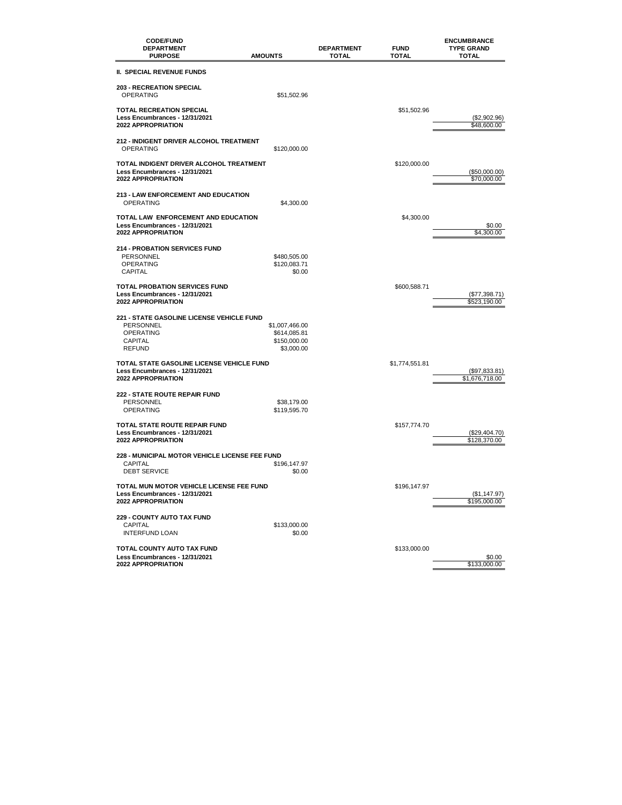| <b>CODE/FUND</b><br><b>DEPARTMENT</b><br><b>PURPOSE</b>                                                              | <b>AMOUNTS</b>                                               | <b>DEPARTMENT</b><br><b>TOTAL</b> | <b>FUND</b><br>TOTAL | <b>ENCUMBRANCE</b><br><b>TYPE GRAND</b><br><b>TOTAL</b> |
|----------------------------------------------------------------------------------------------------------------------|--------------------------------------------------------------|-----------------------------------|----------------------|---------------------------------------------------------|
| II. SPECIAL REVENUE FUNDS                                                                                            |                                                              |                                   |                      |                                                         |
| <b>203 - RECREATION SPECIAL</b><br><b>OPERATING</b>                                                                  | \$51,502.96                                                  |                                   |                      |                                                         |
| <b>TOTAL RECREATION SPECIAL</b><br>Less Encumbrances - 12/31/2021<br>2022 APPROPRIATION                              |                                                              |                                   | \$51,502.96          | (\$2,902.96)<br>\$48,600.00                             |
| <b>212 - INDIGENT DRIVER ALCOHOL TREATMENT</b><br><b>OPERATING</b>                                                   | \$120,000.00                                                 |                                   |                      |                                                         |
| TOTAL INDIGENT DRIVER ALCOHOL TREATMENT<br>Less Encumbrances - 12/31/2021<br><b>2022 APPROPRIATION</b>               |                                                              |                                   | \$120,000.00         | (\$50,000.00)<br>\$70,000.00                            |
| 213 - LAW ENFORCEMENT AND EDUCATION<br><b>OPERATING</b>                                                              | \$4,300.00                                                   |                                   |                      |                                                         |
| TOTAL LAW ENFORCEMENT AND EDUCATION<br>Less Encumbrances - 12/31/2021<br>2022 APPROPRIATION                          |                                                              |                                   | \$4,300.00           | \$0.00<br>\$4,300.00                                    |
| <b>214 - PROBATION SERVICES FUND</b><br>PERSONNEL<br><b>OPERATING</b><br><b>CAPITAL</b>                              | \$480,505.00<br>\$120,083.71<br>\$0.00                       |                                   |                      |                                                         |
| <b>TOTAL PROBATION SERVICES FUND</b><br>Less Encumbrances - 12/31/2021<br><b>2022 APPROPRIATION</b>                  |                                                              |                                   | \$600,588.71         | (\$77,398.71)<br>\$523,190.00                           |
| <b>221 - STATE GASOLINE LICENSE VEHICLE FUND</b><br>PERSONNEL<br><b>OPERATING</b><br><b>CAPITAL</b><br><b>REFUND</b> | \$1,007,466.00<br>\$614,085.81<br>\$150,000.00<br>\$3,000.00 |                                   |                      |                                                         |
| TOTAL STATE GASOLINE LICENSE VEHICLE FUND<br>Less Encumbrances - 12/31/2021<br>2022 APPROPRIATION                    |                                                              |                                   | \$1,774,551.81       | (\$97,833.81)<br>\$1,676,718.00                         |
| 222 - STATE ROUTE REPAIR FUND<br>PERSONNEL<br><b>OPERATING</b>                                                       | \$38,179.00<br>\$119,595.70                                  |                                   |                      |                                                         |
| <b>TOTAL STATE ROUTE REPAIR FUND</b><br>Less Encumbrances - 12/31/2021<br><b>2022 APPROPRIATION</b>                  |                                                              |                                   | \$157,774.70         | (\$29,404.70)<br>\$128,370.00                           |
| <b>228 - MUNICIPAL MOTOR VEHICLE LICENSE FEE FUND</b><br><b>CAPITAL</b><br><b>DEBT SERVICE</b>                       | \$196.147.97<br>\$0.00                                       |                                   |                      |                                                         |
| TOTAL MUN MOTOR VEHICLE LICENSE FEE FUND<br>Less Encumbrances - 12/31/2021<br><b>2022 APPROPRIATION</b>              |                                                              |                                   | \$196.147.97         | (\$1,147.97)<br>\$195,000.00                            |
| <b>229 - COUNTY AUTO TAX FUND</b><br><b>CAPITAL</b><br><b>INTERFUND LOAN</b>                                         | \$133,000.00<br>\$0.00                                       |                                   |                      |                                                         |
| TOTAL COUNTY AUTO TAX FUND<br>Less Encumbrances - 12/31/2021<br><b>2022 APPROPRIATION</b>                            |                                                              |                                   | \$133,000.00         | \$0.00<br>\$133,000.00                                  |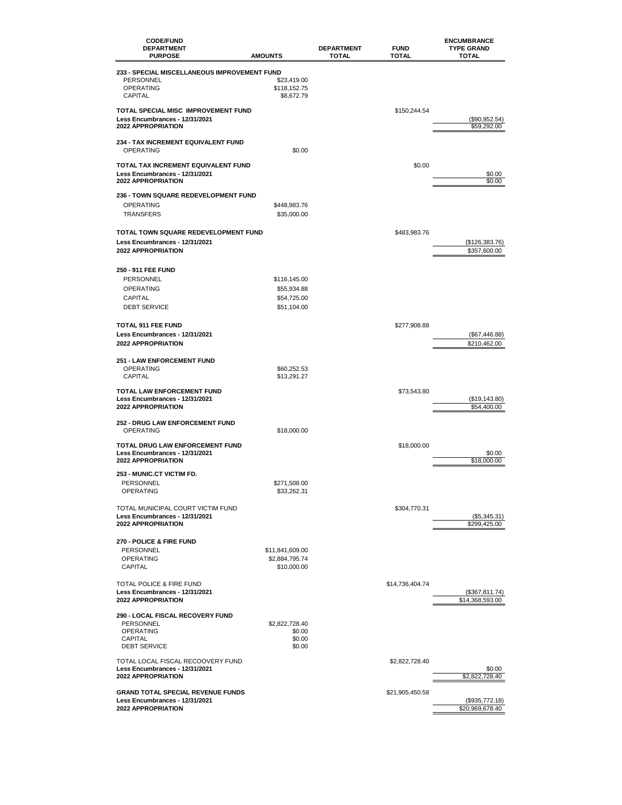| <b>CODE/FUND</b><br><b>DEPARTMENT</b><br><b>PURPOSE</b>     | <b>AMOUNTS</b>           | <b>DEPARTMENT</b><br><b>TOTAL</b> | <b>FUND</b><br>TOTAL | <b>ENCUMBRANCE</b><br><b>TYPE GRAND</b><br><b>TOTAL</b> |
|-------------------------------------------------------------|--------------------------|-----------------------------------|----------------------|---------------------------------------------------------|
| 233 - SPECIAL MISCELLANEOUS IMPROVEMENT FUND                |                          |                                   |                      |                                                         |
| PERSONNEL                                                   | \$23,419.00              |                                   |                      |                                                         |
| <b>OPERATING</b>                                            | \$118,152.75             |                                   |                      |                                                         |
| <b>CAPITAL</b>                                              | \$8,672.79               |                                   |                      |                                                         |
| TOTAL SPECIAL MISC IMPROVEMENT FUND                         |                          |                                   | \$150,244.54         |                                                         |
| Less Encumbrances - 12/31/2021                              |                          |                                   |                      | (\$90,952.54)                                           |
| <b>2022 APPROPRIATION</b>                                   |                          |                                   |                      | \$59.292.00                                             |
| <b>234 - TAX INCREMENT EQUIVALENT FUND</b>                  |                          |                                   |                      |                                                         |
| <b>OPERATING</b>                                            | \$0.00                   |                                   |                      |                                                         |
|                                                             |                          |                                   |                      |                                                         |
| TOTAL TAX INCREMENT EQUIVALENT FUND                         |                          |                                   | \$0.00               |                                                         |
| Less Encumbrances - 12/31/2021<br><b>2022 APPROPRIATION</b> |                          |                                   |                      | \$0.00<br>\$0.00                                        |
|                                                             |                          |                                   |                      |                                                         |
| <b>236 - TOWN SQUARE REDEVELOPMENT FUND</b>                 |                          |                                   |                      |                                                         |
| <b>OPERATING</b>                                            | \$448,983.76             |                                   |                      |                                                         |
| <b>TRANSFERS</b>                                            | \$35,000.00              |                                   |                      |                                                         |
| TOTAL TOWN SQUARE REDEVELOPMENT FUND                        |                          |                                   | \$483,983.76         |                                                         |
| Less Encumbrances - 12/31/2021                              |                          |                                   |                      | (\$126,383.76)                                          |
| <b>2022 APPROPRIATION</b>                                   |                          |                                   |                      | \$357,600.00                                            |
|                                                             |                          |                                   |                      |                                                         |
| 250 - 911 FEE FUND                                          |                          |                                   |                      |                                                         |
| PERSONNEL                                                   | \$116,145.00             |                                   |                      |                                                         |
| <b>OPERATING</b>                                            | \$55,934.88              |                                   |                      |                                                         |
| CAPITAL                                                     | \$54,725.00              |                                   |                      |                                                         |
| <b>DEBT SERVICE</b>                                         | \$51,104.00              |                                   |                      |                                                         |
| <b>TOTAL 911 FEE FUND</b>                                   |                          |                                   |                      |                                                         |
| Less Encumbrances - 12/31/2021                              |                          |                                   | \$277,908.88         |                                                         |
| <b>2022 APPROPRIATION</b>                                   |                          |                                   |                      | (\$67,446.88)<br>\$210,462.00                           |
|                                                             |                          |                                   |                      |                                                         |
| <b>251 - LAW ENFORCEMENT FUND</b>                           |                          |                                   |                      |                                                         |
| <b>OPERATING</b>                                            | \$60,252.53              |                                   |                      |                                                         |
| <b>CAPITAL</b>                                              | \$13,291.27              |                                   |                      |                                                         |
| <b>TOTAL LAW ENFORCEMENT FUND</b>                           |                          |                                   | \$73,543.80          |                                                         |
| Less Encumbrances - 12/31/2021<br><b>2022 APPROPRIATION</b> |                          |                                   |                      | (\$19,143.80)                                           |
|                                                             |                          |                                   |                      | \$54,400.00                                             |
| <b>252 - DRUG LAW ENFORCEMENT FUND</b>                      |                          |                                   |                      |                                                         |
| <b>OPERATING</b>                                            | \$18,000.00              |                                   |                      |                                                         |
| TOTAL DRUG LAW ENFORCEMENT FUND                             |                          |                                   | \$18,000.00          |                                                         |
| Less Encumbrances - 12/31/2021                              |                          |                                   |                      | \$0.00                                                  |
| <b>2022 APPROPRIATION</b>                                   |                          |                                   |                      | \$18,000.00                                             |
| 253 - MUNIC.CT VICTIM FD.                                   |                          |                                   |                      |                                                         |
| <b>PERSONNEL</b>                                            | \$271,508.00             |                                   |                      |                                                         |
| OPERATING                                                   | \$33,262.31              |                                   |                      |                                                         |
| TOTAL MUNICIPAL COURT VICTIM FUND                           |                          |                                   | \$304,770.31         |                                                         |
| Less Encumbrances - 12/31/2021                              |                          |                                   |                      | (\$5,345.31)                                            |
| 2022 APPROPRIATION                                          |                          |                                   |                      | \$299,425.00                                            |
|                                                             |                          |                                   |                      |                                                         |
| <b>270 - POLICE &amp; FIRE FUND</b><br><b>PERSONNEL</b>     | \$11,841,609.00          |                                   |                      |                                                         |
| <b>OPERATING</b>                                            | \$2,884,795.74           |                                   |                      |                                                         |
| <b>CAPITAL</b>                                              | \$10,000.00              |                                   |                      |                                                         |
|                                                             |                          |                                   |                      |                                                         |
| TOTAL POLICE & FIRE FUND                                    |                          |                                   | \$14,736,404.74      |                                                         |
| Less Encumbrances - 12/31/2021<br><b>2022 APPROPRIATION</b> |                          |                                   |                      | (\$367,811.74)<br>\$14,368,593.00                       |
|                                                             |                          |                                   |                      |                                                         |
| <b>290 - LOCAL FISCAL RECOVERY FUND</b>                     |                          |                                   |                      |                                                         |
| <b>PERSONNEL</b><br><b>OPERATING</b>                        | \$2,822,728.40<br>\$0.00 |                                   |                      |                                                         |
| CAPITAL                                                     | \$0.00                   |                                   |                      |                                                         |
| <b>DEBT SERVICE</b>                                         | \$0.00                   |                                   |                      |                                                         |
| TOTAL LOCAL FISCAL RECOOVERY FUND                           |                          |                                   | \$2,822,728.40       |                                                         |
| Less Encumbrances - 12/31/2021                              |                          |                                   |                      | \$0.00                                                  |
| <b>2022 APPROPRIATION</b>                                   |                          |                                   |                      | \$2,822,728.40                                          |
| <b>GRAND TOTAL SPECIAL REVENUE FUNDS</b>                    |                          |                                   | \$21,905,450.58      |                                                         |
| Less Encumbrances - 12/31/2021                              |                          |                                   |                      | (\$935,772.18)                                          |
| <b>2022 APPROPRIATION</b>                                   |                          |                                   |                      | \$20,969,678.40                                         |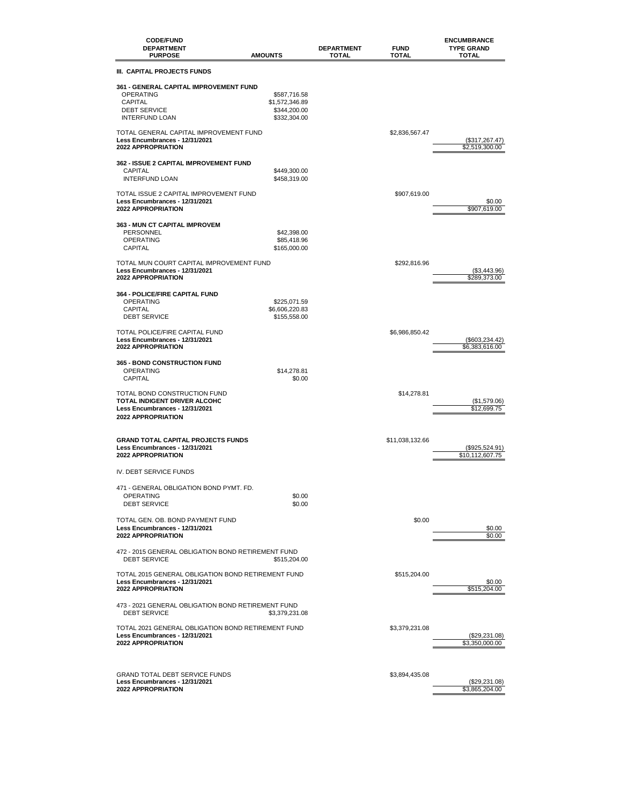| <b>CODE/FUND</b><br><b>DEPARTMENT</b><br><b>PURPOSE</b>                                                                      | <b>AMOUNTS</b>                                                 | <b>DEPARTMENT</b><br><b>TOTAL</b> | <b>FUND</b><br><b>TOTAL</b> | <b>ENCUMBRANCE</b><br><b>TYPE GRAND</b><br><b>TOTAL</b> |
|------------------------------------------------------------------------------------------------------------------------------|----------------------------------------------------------------|-----------------------------------|-----------------------------|---------------------------------------------------------|
| III. CAPITAL PROJECTS FUNDS                                                                                                  |                                                                |                                   |                             |                                                         |
| <b>361 - GENERAL CAPITAL IMPROVEMENT FUND</b><br><b>OPERATING</b><br>CAPITAL<br><b>DEBT SERVICE</b><br><b>INTERFUND LOAN</b> | \$587,716.58<br>\$1,572,346.89<br>\$344.200.00<br>\$332,304.00 |                                   |                             |                                                         |
| TOTAL GENERAL CAPITAL IMPROVEMENT FUND<br>Less Encumbrances - 12/31/2021<br><b>2022 APPROPRIATION</b>                        |                                                                |                                   | \$2,836,567.47              | (\$317,267.47)<br>\$2,519,300.00                        |
| <b>362 - ISSUE 2 CAPITAL IMPROVEMENT FUND</b><br><b>CAPITAL</b><br><b>INTERFUND LOAN</b>                                     | \$449,300.00<br>\$458,319.00                                   |                                   |                             |                                                         |
| TOTAL ISSUE 2 CAPITAL IMPROVEMENT FUND<br>Less Encumbrances - 12/31/2021<br><b>2022 APPROPRIATION</b>                        |                                                                |                                   | \$907,619.00                | \$0.00<br>\$907,619.00                                  |
| 363 - MUN CT CAPITAL IMPROVEM<br>PERSONNEL<br><b>OPERATING</b><br>CAPITAL                                                    | \$42,398.00<br>\$85,418.96<br>\$165,000.00                     |                                   |                             |                                                         |
| TOTAL MUN COURT CAPITAL IMPROVEMENT FUND<br>Less Encumbrances - 12/31/2021<br><b>2022 APPROPRIATION</b>                      |                                                                |                                   | \$292,816.96                | (\$3,443.96)<br>\$289.373.00                            |
| <b>364 - POLICE/FIRE CAPITAL FUND</b><br><b>OPERATING</b><br>CAPITAL<br><b>DEBT SERVICE</b>                                  | \$225,071.59<br>\$6,606,220.83<br>\$155,558.00                 |                                   |                             |                                                         |
| TOTAL POLICE/FIRE CAPITAL FUND<br>Less Encumbrances - 12/31/2021<br><b>2022 APPROPRIATION</b>                                |                                                                |                                   | \$6,986,850.42              | (\$603,234.42)<br>\$6,383,616.00                        |
| <b>365 - BOND CONSTRUCTION FUND</b><br><b>OPERATING</b><br><b>CAPITAL</b>                                                    | \$14,278.81<br>\$0.00                                          |                                   |                             |                                                         |
| TOTAL BOND CONSTRUCTION FUND<br>TOTAL INDIGENT DRIVER ALCOHC<br>Less Encumbrances - 12/31/2021<br><b>2022 APPROPRIATION</b>  |                                                                |                                   | \$14,278.81                 | (S1, 579.06)<br>\$12,699.75                             |
| <b>GRAND TOTAL CAPITAL PROJECTS FUNDS</b><br>Less Encumbrances - 12/31/2021<br><b>2022 APPROPRIATION</b>                     |                                                                |                                   | \$11,038,132.66             | (\$925,524.91)<br>\$10,112,607.75                       |
| IV. DEBT SERVICE FUNDS                                                                                                       |                                                                |                                   |                             |                                                         |
| 471 - GENERAL OBLIGATION BOND PYMT. FD.<br>OPERATING<br><b>DEBT SERVICE</b>                                                  | \$0.00<br>\$0.00                                               |                                   |                             |                                                         |
| TOTAL GEN, OB, BOND PAYMENT FUND<br>Less Encumbrances - 12/31/2021<br><b>2022 APPROPRIATION</b>                              |                                                                |                                   | \$0.00                      | \$0.00<br>\$0.00                                        |
| 472 - 2015 GENERAL OBLIGATION BOND RETIREMENT FUND<br><b>DEBT SERVICE</b>                                                    | \$515,204.00                                                   |                                   |                             |                                                         |
| TOTAL 2015 GENERAL OBLIGATION BOND RETIREMENT FUND<br>Less Encumbrances - 12/31/2021<br><b>2022 APPROPRIATION</b>            |                                                                |                                   | \$515,204.00                | \$0.00<br>\$515,204.00                                  |
| 473 - 2021 GENERAL OBLIGATION BOND RETIREMENT FUND<br><b>DEBT SERVICE</b>                                                    | \$3,379,231.08                                                 |                                   |                             |                                                         |
| TOTAL 2021 GENERAL OBLIGATION BOND RETIREMENT FUND<br>Less Encumbrances - 12/31/2021<br>2022 APPROPRIATION                   |                                                                |                                   | \$3,379,231.08              | (\$29,231.08)<br>\$3,350,000.00                         |
| <b>GRAND TOTAL DEBT SERVICE FUNDS</b><br>Less Encumbrances - 12/31/2021<br><b>2022 APPROPRIATION</b>                         |                                                                |                                   | \$3,894,435.08              | (\$29,231.08)<br>\$3,865,204.00                         |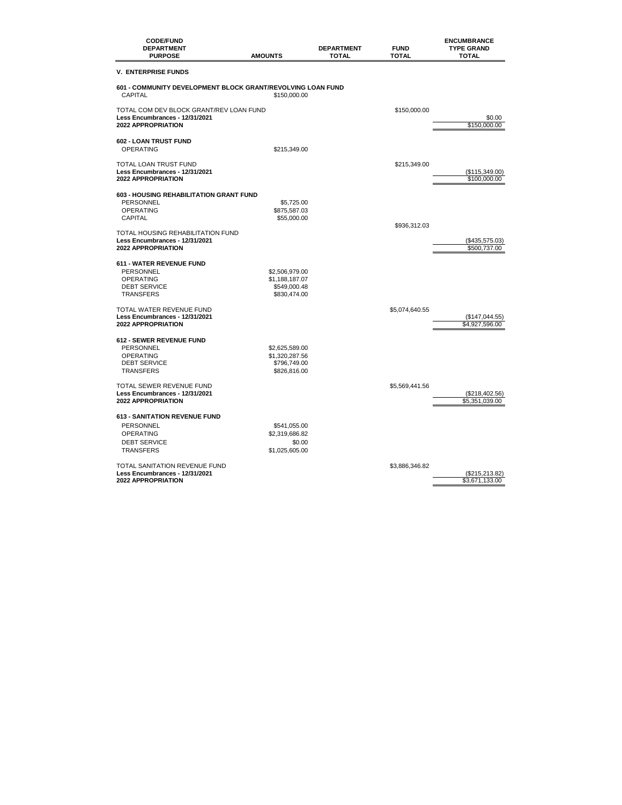| <b>CODE/FUND</b><br><b>DEPARTMENT</b><br><b>PURPOSE</b>                                         | <b>AMOUNTS</b>                 | <b>DEPARTMENT</b><br><b>TOTAL</b> | <b>FUND</b><br><b>TOTAL</b> | <b>ENCUMBRANCE</b><br><b>TYPE GRAND</b><br><b>TOTAL</b> |
|-------------------------------------------------------------------------------------------------|--------------------------------|-----------------------------------|-----------------------------|---------------------------------------------------------|
| <b>V. ENTERPRISE FUNDS</b>                                                                      |                                |                                   |                             |                                                         |
| 601 - COMMUNITY DEVELOPMENT BLOCK GRANT/REVOLVING LOAN FUND                                     |                                |                                   |                             |                                                         |
| <b>CAPITAL</b>                                                                                  | \$150,000.00                   |                                   |                             |                                                         |
| TOTAL COM DEV BLOCK GRANT/REV LOAN FUND<br>Less Encumbrances - 12/31/2021<br>2022 APPROPRIATION |                                |                                   | \$150,000.00                | \$0.00<br>\$150,000.00                                  |
| 602 - LOAN TRUST FUND                                                                           |                                |                                   |                             |                                                         |
| <b>OPERATING</b>                                                                                | \$215,349.00                   |                                   |                             |                                                         |
| TOTAL LOAN TRUST FUND<br>Less Encumbrances - 12/31/2021<br><b>2022 APPROPRIATION</b>            |                                |                                   | \$215,349.00                | (S115, 349.00)<br>\$100,000.00                          |
| <b>603 - HOUSING REHABILITATION GRANT FUND</b>                                                  |                                |                                   |                             |                                                         |
| <b>PERSONNEL</b>                                                                                | \$5,725.00                     |                                   |                             |                                                         |
| <b>OPERATING</b><br>CAPITAL                                                                     | \$875,587.03                   |                                   |                             |                                                         |
|                                                                                                 | \$55,000.00                    |                                   | \$936,312.03                |                                                         |
| TOTAL HOUSING REHABILITATION FUND                                                               |                                |                                   |                             |                                                         |
| Less Encumbrances - 12/31/2021<br>2022 APPROPRIATION                                            |                                |                                   |                             | (\$435,575.03)<br>\$500,737.00                          |
| <b>611 - WATER REVENUE FUND</b>                                                                 |                                |                                   |                             |                                                         |
| <b>PERSONNEL</b>                                                                                | \$2,506,979.00                 |                                   |                             |                                                         |
| <b>OPERATING</b><br><b>DEBT SERVICE</b>                                                         | \$1,188,187.07<br>\$549,000.48 |                                   |                             |                                                         |
| <b>TRANSFERS</b>                                                                                | \$830,474.00                   |                                   |                             |                                                         |
| TOTAL WATER REVENUE FUND                                                                        |                                |                                   | \$5,074,640.55              |                                                         |
| Less Encumbrances - 12/31/2021<br><b>2022 APPROPRIATION</b>                                     |                                |                                   |                             | (\$147,044.55)<br>\$4,927,596.00                        |
| 612 - SEWER REVENUE FUND                                                                        |                                |                                   |                             |                                                         |
| PERSONNEL                                                                                       | \$2,625,589.00                 |                                   |                             |                                                         |
| <b>OPERATING</b><br><b>DEBT SERVICE</b>                                                         | \$1,320,287.56<br>\$796,749.00 |                                   |                             |                                                         |
| <b>TRANSFERS</b>                                                                                | \$826,816.00                   |                                   |                             |                                                         |
| TOTAL SEWER REVENUE FUND                                                                        |                                |                                   | \$5,569,441.56              |                                                         |
| Less Encumbrances - 12/31/2021<br><b>2022 APPROPRIATION</b>                                     |                                |                                   |                             | (\$218,402.56)<br>\$5,351,039.00                        |
| <b>613 - SANITATION REVENUE FUND</b>                                                            |                                |                                   |                             |                                                         |
| <b>PERSONNEL</b>                                                                                | \$541,055.00                   |                                   |                             |                                                         |
| <b>OPERATING</b>                                                                                | \$2,319,686.82                 |                                   |                             |                                                         |
| <b>DEBT SERVICE</b><br><b>TRANSFERS</b>                                                         | \$0.00<br>\$1,025,605.00       |                                   |                             |                                                         |
|                                                                                                 |                                |                                   |                             |                                                         |
| TOTAL SANITATION REVENUE FUND<br>Less Encumbrances - 12/31/2021                                 |                                |                                   | \$3,886,346.82              |                                                         |
| 2022 APPROPRIATION                                                                              |                                |                                   |                             | (\$215,213.82)<br>\$3,671,133.00                        |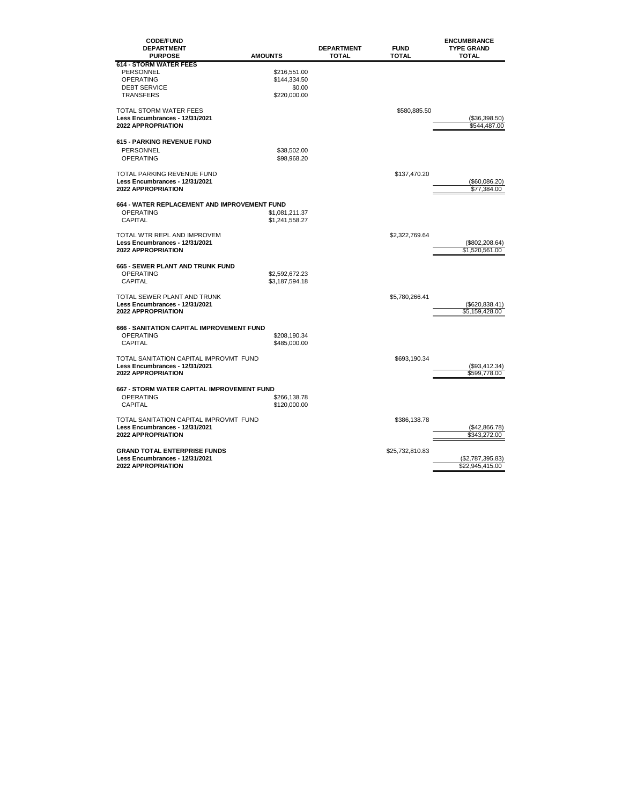| <b>CODE/FUND</b><br><b>DEPARTMENT</b><br><b>PURPOSE</b>             | <b>AMOUNTS</b> | <b>DEPARTMENT</b><br><b>TOTAL</b> | <b>FUND</b><br><b>TOTAL</b> | <b>ENCUMBRANCE</b><br><b>TYPE GRAND</b><br><b>TOTAL</b> |
|---------------------------------------------------------------------|----------------|-----------------------------------|-----------------------------|---------------------------------------------------------|
| <b>614 - STORM WATER FEES</b>                                       |                |                                   |                             |                                                         |
| PERSONNEL                                                           | \$216,551.00   |                                   |                             |                                                         |
| <b>OPERATING</b>                                                    | \$144,334.50   |                                   |                             |                                                         |
| <b>DEBT SERVICE</b>                                                 | \$0.00         |                                   |                             |                                                         |
| <b>TRANSFERS</b>                                                    | \$220,000.00   |                                   |                             |                                                         |
|                                                                     |                |                                   |                             |                                                         |
| <b>TOTAL STORM WATER FEES</b>                                       |                |                                   | \$580,885.50                |                                                         |
| Less Encumbrances - 12/31/2021                                      |                |                                   |                             | (\$36,398.50)                                           |
| 2022 APPROPRIATION                                                  |                |                                   |                             | \$544,487.00                                            |
|                                                                     |                |                                   |                             |                                                         |
| <b>615 - PARKING REVENUE FUND</b>                                   |                |                                   |                             |                                                         |
| PERSONNEL                                                           | \$38,502.00    |                                   |                             |                                                         |
| <b>OPERATING</b>                                                    | \$98,968.20    |                                   |                             |                                                         |
|                                                                     |                |                                   |                             |                                                         |
| <b>TOTAL PARKING REVENUE FUND</b><br>Less Encumbrances - 12/31/2021 |                |                                   | \$137,470.20                |                                                         |
| 2022 APPROPRIATION                                                  |                |                                   |                             | (\$60,086.20)<br>\$77,384.00                            |
|                                                                     |                |                                   |                             |                                                         |
| 664 - WATER REPLACEMENT AND IMPROVEMENT FUND                        |                |                                   |                             |                                                         |
| <b>OPERATING</b>                                                    | \$1,081,211.37 |                                   |                             |                                                         |
| <b>CAPITAL</b>                                                      | \$1,241,558.27 |                                   |                             |                                                         |
|                                                                     |                |                                   |                             |                                                         |
| TOTAL WTR REPL AND IMPROVEM                                         |                |                                   | \$2,322,769.64              |                                                         |
| Less Encumbrances - 12/31/2021                                      |                |                                   |                             | (\$802,208.64)                                          |
| <b>2022 APPROPRIATION</b>                                           |                |                                   |                             | \$1,520,561.00                                          |
|                                                                     |                |                                   |                             |                                                         |
| <b>665 - SEWER PLANT AND TRUNK FUND</b>                             |                |                                   |                             |                                                         |
| <b>OPERATING</b>                                                    | \$2,592,672.23 |                                   |                             |                                                         |
| CAPITAL                                                             | \$3,187,594.18 |                                   |                             |                                                         |
| TOTAL SEWER PLANT AND TRUNK                                         |                |                                   | \$5,780,266.41              |                                                         |
| Less Encumbrances - 12/31/2021                                      |                |                                   |                             | (\$620, 838.41)                                         |
| <b>2022 APPROPRIATION</b>                                           |                |                                   |                             | \$5,159,428.00                                          |
|                                                                     |                |                                   |                             |                                                         |
| 666 - SANITATION CAPITAL IMPROVEMENT FUND                           |                |                                   |                             |                                                         |
| <b>OPERATING</b>                                                    | \$208,190.34   |                                   |                             |                                                         |
| <b>CAPITAL</b>                                                      | \$485,000.00   |                                   |                             |                                                         |
|                                                                     |                |                                   |                             |                                                         |
| TOTAL SANITATION CAPITAL IMPROVMT FUND                              |                |                                   | \$693,190.34                |                                                         |
| Less Encumbrances - 12/31/2021                                      |                |                                   |                             | (\$93,412.34)                                           |
| <b>2022 APPROPRIATION</b>                                           |                |                                   |                             | \$599,778.00                                            |
| 667 - STORM WATER CAPITAL IMPROVEMENT FUND                          |                |                                   |                             |                                                         |
| <b>OPERATING</b>                                                    | \$266,138.78   |                                   |                             |                                                         |
| CAPITAL                                                             | \$120,000.00   |                                   |                             |                                                         |
|                                                                     |                |                                   |                             |                                                         |
| TOTAL SANITATION CAPITAL IMPROVMT FUND                              |                |                                   | \$386,138.78                |                                                         |
| Less Encumbrances - 12/31/2021                                      |                |                                   |                             | (\$42,866.78)                                           |
| <b>2022 APPROPRIATION</b>                                           |                |                                   |                             | \$343,272.00                                            |
|                                                                     |                |                                   |                             |                                                         |
| <b>GRAND TOTAL ENTERPRISE FUNDS</b>                                 |                |                                   | \$25,732,810.83             |                                                         |
| Less Encumbrances - 12/31/2021                                      |                |                                   |                             | (\$2,787,395.83)                                        |
| <b>2022 APPROPRIATION</b>                                           |                |                                   |                             | \$22,945,415.00                                         |